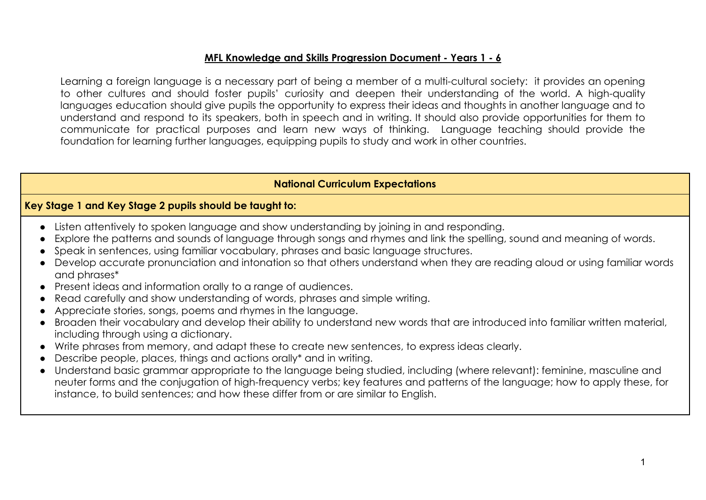## **MFL Knowledge and Skills Progression Document - Years 1 - 6**

Learning a foreign language is a necessary part of being a member of a multi-cultural society: it provides an opening to other cultures and should foster pupils' curiosity and deepen their understanding of the world. A high-quality languages education should give pupils the opportunity to express their ideas and thoughts in another language and to understand and respond to its speakers, both in speech and in writing. It should also provide opportunities for them to communicate for practical purposes and learn new ways of thinking. Language teaching should provide the foundation for learning further languages, equipping pupils to study and work in other countries.

## **National Curriculum Expectations**

## **Key Stage 1 and Key Stage 2 pupils should be taught to:**

- Listen attentively to spoken language and show understanding by joining in and responding.
- Explore the patterns and sounds of language through songs and rhymes and link the spelling, sound and meaning of words.
- Speak in sentences, using familiar vocabulary, phrases and basic language structures.
- Develop accurate pronunciation and intonation so that others understand when they are reading aloud or using familiar words and phrases\*
- Present ideas and information orally to a range of audiences.
- Read carefully and show understanding of words, phrases and simple writing.
- Appreciate stories, songs, poems and rhymes in the language.
- Broaden their vocabulary and develop their ability to understand new words that are introduced into familiar written material, including through using a dictionary.
- Write phrases from memory, and adapt these to create new sentences, to express ideas clearly.
- Describe people, places, things and actions orally\* and in writing.
- Understand basic grammar appropriate to the language being studied, including (where relevant): feminine, masculine and neuter forms and the conjugation of high-frequency verbs; key features and patterns of the language; how to apply these, for instance, to build sentences; and how these differ from or are similar to English.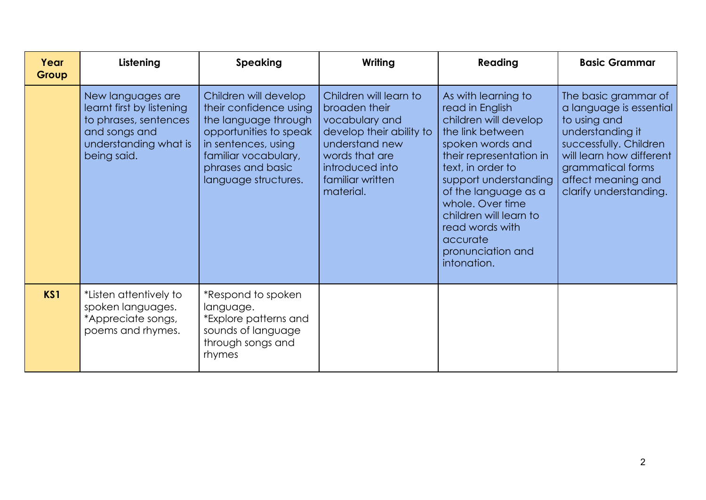| Year<br>Group | Listening                                                                                                                        | <b>Speaking</b>                                                                                                                                                                               | Writing                                                                                                                                                                       | Reading                                                                                                                                                                                                                                                                                                                   | <b>Basic Grammar</b>                                                                                                                                                                                           |
|---------------|----------------------------------------------------------------------------------------------------------------------------------|-----------------------------------------------------------------------------------------------------------------------------------------------------------------------------------------------|-------------------------------------------------------------------------------------------------------------------------------------------------------------------------------|---------------------------------------------------------------------------------------------------------------------------------------------------------------------------------------------------------------------------------------------------------------------------------------------------------------------------|----------------------------------------------------------------------------------------------------------------------------------------------------------------------------------------------------------------|
|               | New languages are<br>learnt first by listening<br>to phrases, sentences<br>and songs and<br>understanding what is<br>being said. | Children will develop<br>their confidence using<br>the language through<br>opportunities to speak<br>in sentences, using<br>familiar vocabulary,<br>phrases and basic<br>language structures. | Children will learn to<br>broaden their<br>vocabulary and<br>develop their ability to<br>understand new<br>words that are<br>introduced into<br>familiar written<br>material. | As with learning to<br>read in English<br>children will develop<br>the link between<br>spoken words and<br>their representation in<br>text, in order to<br>support understanding<br>of the language as a<br>whole. Over time<br>children will learn to<br>read words with<br>accurate<br>pronunciation and<br>intonation. | The basic grammar of<br>a language is essential<br>to using and<br>understanding it<br>successfully. Children<br>will learn how different<br>grammatical forms<br>affect meaning and<br>clarify understanding. |
| KS1           | *Listen attentively to<br>spoken languages.<br>*Appreciate songs,<br>poems and rhymes.                                           | *Respond to spoken<br>language.<br>*Explore patterns and<br>sounds of language<br>through songs and<br>rhymes                                                                                 |                                                                                                                                                                               |                                                                                                                                                                                                                                                                                                                           |                                                                                                                                                                                                                |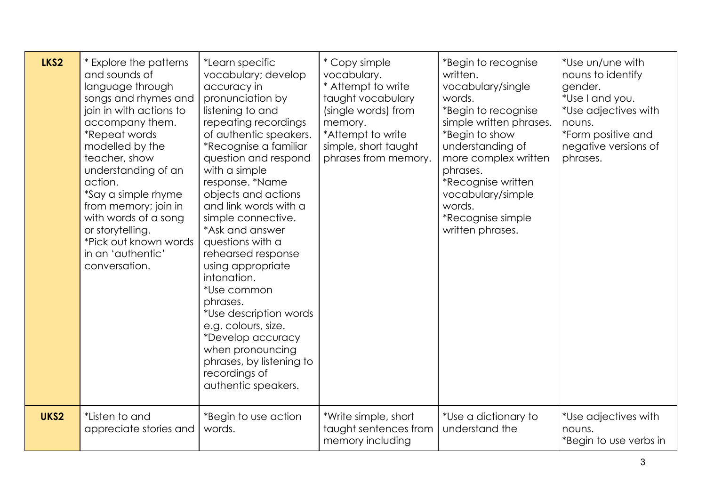| LKS2 | * Explore the patterns<br>and sounds of<br>language through<br>songs and rhymes and<br>join in with actions to<br>accompany them.<br>*Repeat words<br>modelled by the<br>teacher, show<br>understanding of an<br>action.<br>*Say a simple rhyme<br>from memory; join in<br>with words of a song<br>or storytelling.<br>*Pick out known words<br>in an 'authentic'<br>conversation. | *Learn specific<br>vocabulary; develop<br>accuracy in<br>pronunciation by<br>listening to and<br>repeating recordings<br>of authentic speakers.<br>*Recognise a familiar<br>question and respond<br>with a simple<br>response. *Name<br>objects and actions<br>and link words with a<br>simple connective.<br>*Ask and answer<br>questions with a<br>rehearsed response<br>using appropriate<br>intonation.<br>*Use common<br>phrases.<br>*Use description words<br>e.g. colours, size.<br>*Develop accuracy<br>when pronouncing<br>phrases, by listening to<br>recordings of<br>authentic speakers. | * Copy simple<br>vocabulary.<br>* Attempt to write<br>taught vocabulary<br>(single words) from<br>memory.<br>*Attempt to write<br>simple, short taught<br>phrases from memory. | *Begin to recognise<br>written.<br>vocabulary/single<br>words.<br>*Begin to recognise<br>simple written phrases.<br>*Begin to show<br>understanding of<br>more complex written<br>phrases.<br>*Recognise written<br>vocabulary/simple<br>words.<br>*Recognise simple<br>written phrases. | *Use un/une with<br>nouns to identify<br>gender.<br>*Use I and you.<br>*Use adjectives with<br>nouns.<br>*Form positive and<br>negative versions of<br>phrases. |
|------|------------------------------------------------------------------------------------------------------------------------------------------------------------------------------------------------------------------------------------------------------------------------------------------------------------------------------------------------------------------------------------|------------------------------------------------------------------------------------------------------------------------------------------------------------------------------------------------------------------------------------------------------------------------------------------------------------------------------------------------------------------------------------------------------------------------------------------------------------------------------------------------------------------------------------------------------------------------------------------------------|--------------------------------------------------------------------------------------------------------------------------------------------------------------------------------|------------------------------------------------------------------------------------------------------------------------------------------------------------------------------------------------------------------------------------------------------------------------------------------|-----------------------------------------------------------------------------------------------------------------------------------------------------------------|
| UKS2 | *Listen to and<br>appreciate stories and                                                                                                                                                                                                                                                                                                                                           | *Begin to use action<br>words.                                                                                                                                                                                                                                                                                                                                                                                                                                                                                                                                                                       | *Write simple, short<br>taught sentences from<br>memory including                                                                                                              | *Use a dictionary to<br>understand the                                                                                                                                                                                                                                                   | *Use adjectives with<br>nouns.<br>*Begin to use verbs in                                                                                                        |